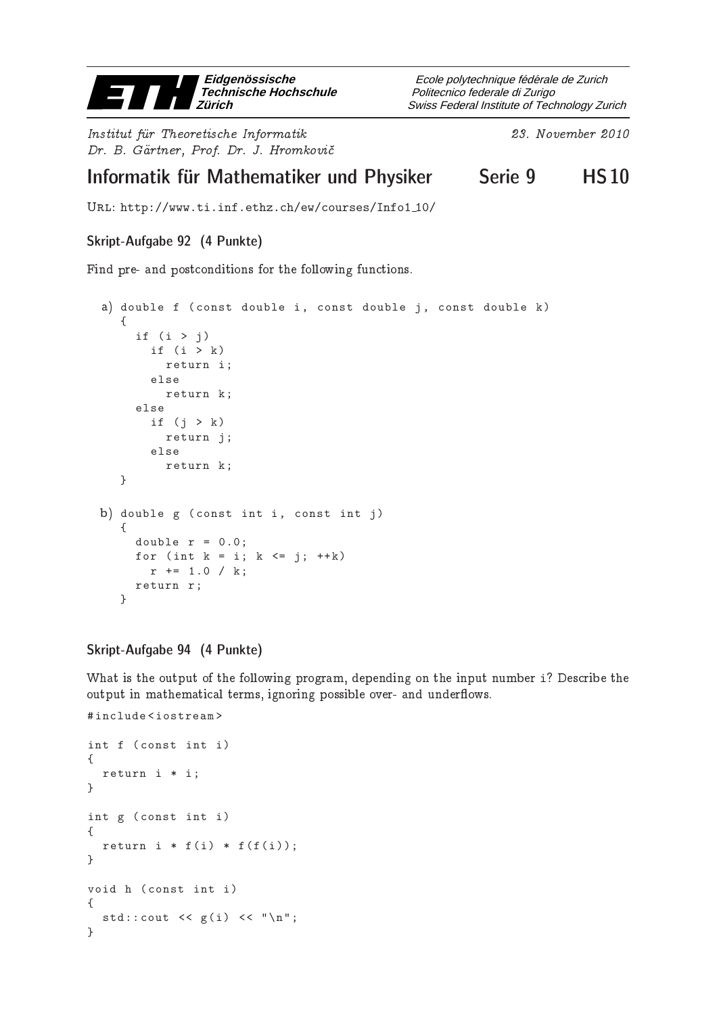

Institut fur Theoretis
he Informatik 23. November <sup>2010</sup> Dr. B. Gartner, Prof. Dr. J. Hromkovi

Swiss Federal Institute of Technology Zurich Politecnico federale di Zurigo Ecole polytechnique fédérale de Zurich

# Informatik für Mathematiker und Physiker Serie 9 in HS10

Url: http://www.ti.inf.ethz.ch/ew/courses/Info1 10/

## Skript-Aufgabe 92 (4 Punkte)

Find pre- and postconditions for the following functions.

```
a) double f (const double i, const double j, const double k)
   {
     if (i > j)if (i > k)return i;
       else
         return k;
     else
       if (j > k)return j;
       else
         return k;
   }
b) double g (const int i, const int j)
   \mathcal{L}double r = 0.0;
     for (int k = i; k \le j; ++k)
       r += 1.0 / k;
    return r ;
   }
```
### Skript-Aufgabe 94 (4 Punkte)

What is the output of the following program, depending on the input number i? Describe the output in mathematical terms, ignoring possible over- and underflows.

```
# include < iostream >
int f ( const int i)
{
  return i * i ;
}
int g ( const int i)
{
  return i * f(i) * f(f(i));}
void h ( const int i)
{
  std::count << g(i) << "\n";}
```